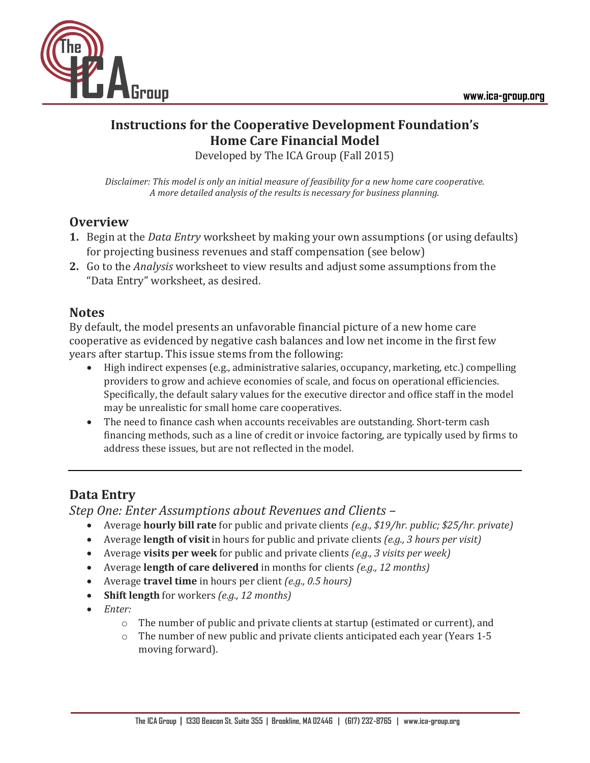

# **Instructions for the Cooperative Development Foundation's Home Care Financial Model**

Developed by The ICA Group (Fall 2015)

*Disclaimer: This model is only an initial measure of feasibility for a new home care cooperative. A more detailed analysis of the results is necessary for business planning.*

### **Overview**

- **1.** Begin at the *Data Entry* worksheet by making your own assumptions (or using defaults) for projecting business revenues and staff compensation (see below)
- **2.** Go to the *Analysis* worksheet to view results and adjust some assumptions from the "Data Entry" worksheet, as desired.

#### **Notes**

By default, the model presents an unfavorable financial picture of a new home care cooperative as evidenced by negative cash balances and low net income in the first few years after startup. This issue stems from the following:

- High indirect expenses (e.g., administrative salaries, occupancy, marketing, etc.) compelling providers to grow and achieve economies of scale, and focus on operational efficiencies. Specifically, the default salary values for the executive director and office staff in the model may be unrealistic for small home care cooperatives.
- The need to finance cash when accounts receivables are outstanding. Short-term cash financing methods, such as a line of credit or invoice factoring, are typically used by firms to address these issues, but are not reflected in the model.

## **Data Entry**

*Step One: Enter Assumptions about Revenues and Clients –*

- Average **hourly bill rate** for public and private clients *(e.g., \$19/hr. public; \$25/hr. private)*
- Average **length of visit** in hours for public and private clients *(e.g., 3 hours per visit)*
- Average **visits per week** for public and private clients *(e.g., 3 visits per week)*
- Average **length of care delivered** in months for clients *(e.g., 12 months)*
- Average **travel time** in hours per client *(e.g., 0.5 hours)*
- **Shift length** for workers *(e.g., 12 months)*
- *Enter:* 
	- $\circ$  The number of public and private clients at startup (estimated or current), and
	- o The number of new public and private clients anticipated each year (Years 1-5 moving forward).